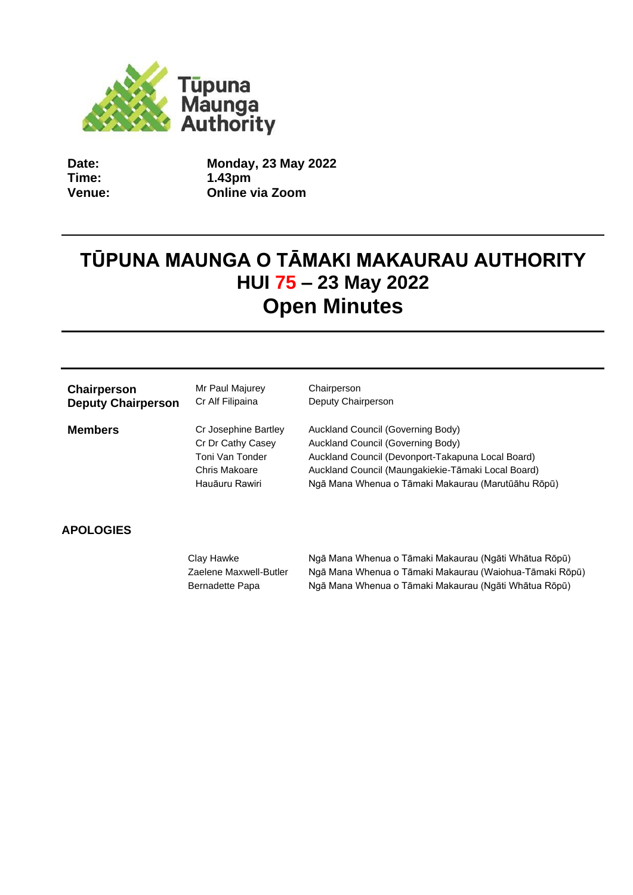

**Date: Time: Venue:** **Monday, 23 May 2022 1.43pm Online via Zoom**

# **TŪPUNA MAUNGA O TĀMAKI MAKAURAU AUTHORITY HUI 75 – 23 May 2022 Open Minutes**

| Chairperson               | Mr Paul Majurey                                                                                 | Chairperson                                                                                                                                                                                                                             |
|---------------------------|-------------------------------------------------------------------------------------------------|-----------------------------------------------------------------------------------------------------------------------------------------------------------------------------------------------------------------------------------------|
| <b>Deputy Chairperson</b> | Cr Alf Filipaina                                                                                | Deputy Chairperson                                                                                                                                                                                                                      |
| <b>Members</b>            | Cr Josephine Bartley<br>Cr Dr Cathy Casey<br>Toni Van Tonder<br>Chris Makoare<br>Hauāuru Rawiri | Auckland Council (Governing Body)<br>Auckland Council (Governing Body)<br>Auckland Council (Devonport-Takapuna Local Board)<br>Auckland Council (Maungakiekie-Tāmaki Local Board)<br>Ngā Mana Whenua o Tāmaki Makaurau (Marutūāhu Rōpū) |

# **APOLOGIES**

Clay Hawke Ngā Mana Whenua o Tāmaki Makaurau (Ngāti Whātua Rōpū) Zaelene Maxwell-Butler Ngā Mana Whenua o Tāmaki Makaurau (Waiohua-Tāmaki Rōpū) Bernadette Papa **Ngā Mana Whenua o Tāmaki Makaurau (Ngāti Whātua Rōpū)**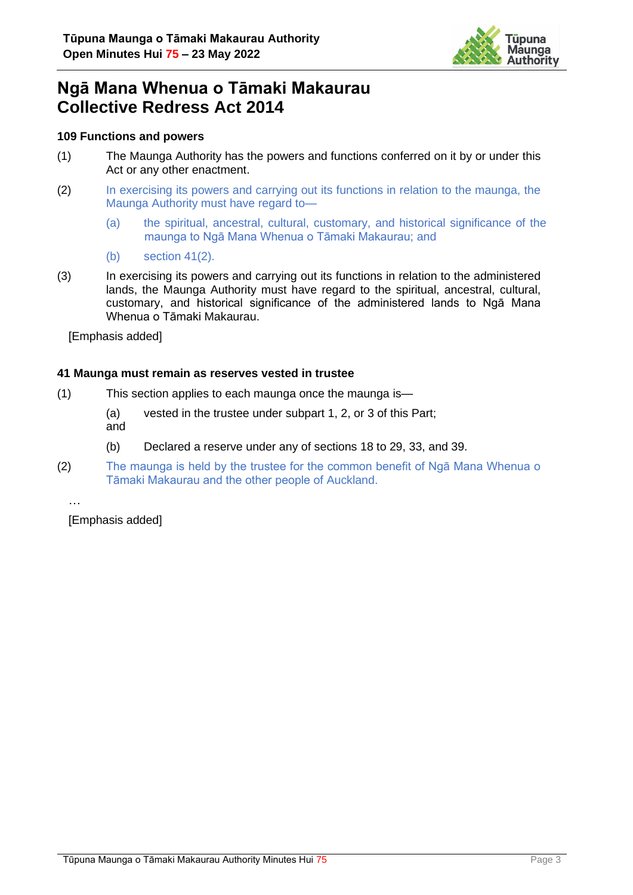

# **Ngā Mana Whenua o Tāmaki Makaurau Collective Redress Act 2014**

#### **109 Functions and powers**

- (1) The Maunga Authority has the powers and functions conferred on it by or under this Act or any other enactment.
- (2) In exercising its powers and carrying out its functions in relation to the maunga, the Maunga Authority must have regard to—
	- (a) the spiritual, ancestral, cultural, customary, and historical significance of the maunga to Ngā Mana Whenua o Tāmaki Makaurau; and
	- (b) section 41(2).
- (3) In exercising its powers and carrying out its functions in relation to the administered lands, the Maunga Authority must have regard to the spiritual, ancestral, cultural, customary, and historical significance of the administered lands to Ngā Mana Whenua o Tāmaki Makaurau.

[Emphasis added]

#### **41 Maunga must remain as reserves vested in trustee**

- (1) This section applies to each maunga once the maunga is—
	- (a) vested in the trustee under subpart 1, 2, or 3 of this Part; and
	- (b) Declared a reserve under any of sections 18 to 29, 33, and 39.
- (2) The maunga is held by the trustee for the common benefit of Ngā Mana Whenua o Tāmaki Makaurau and the other people of Auckland.

…

[Emphasis added]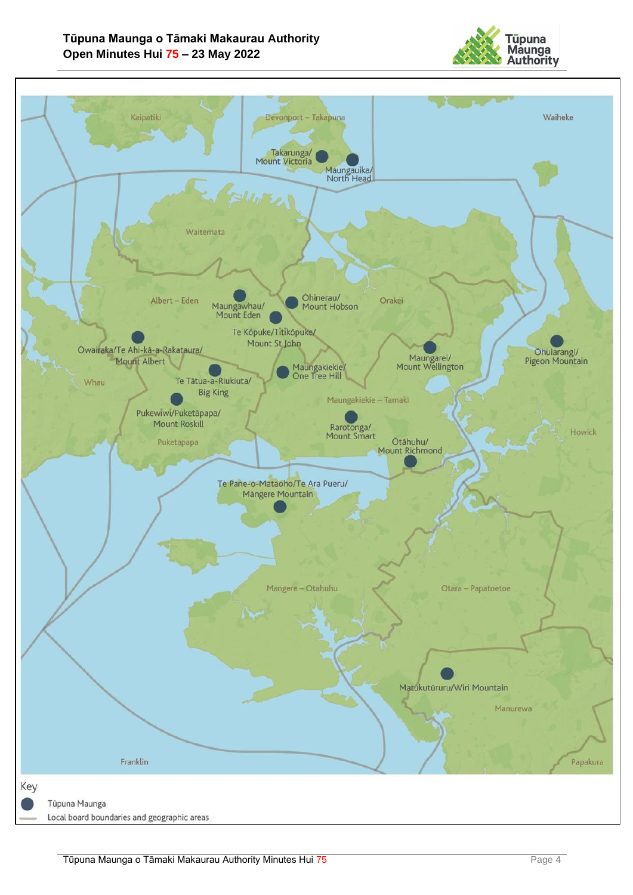

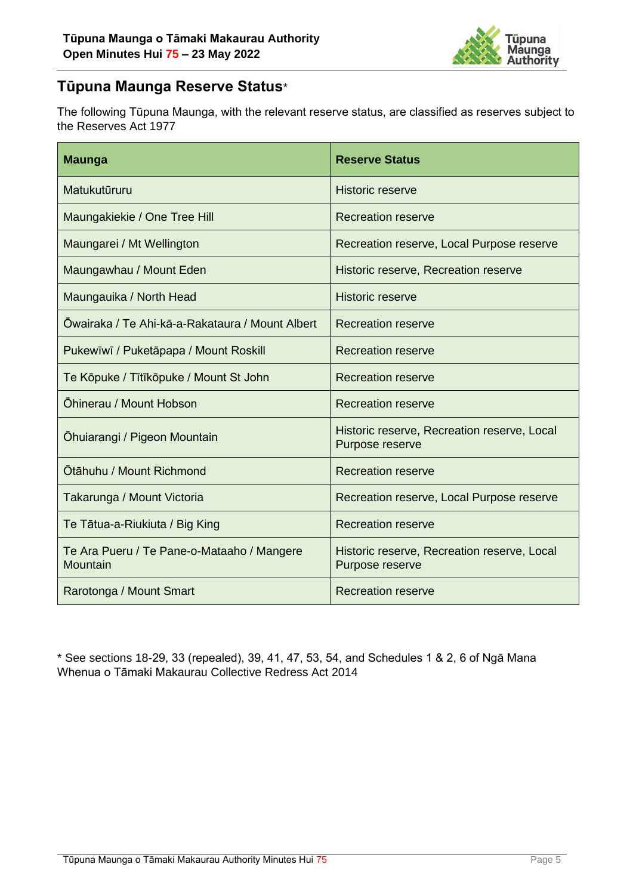

# **Tūpuna Maunga Reserve Status**\*

The following Tūpuna Maunga, with the relevant reserve status, are classified as reserves subject to the Reserves Act 1977

| <b>Maunga</b>                                          | <b>Reserve Status</b>                                          |
|--------------------------------------------------------|----------------------------------------------------------------|
| Matukutūruru                                           | <b>Historic reserve</b>                                        |
| Maungakiekie / One Tree Hill                           | <b>Recreation reserve</b>                                      |
| Maungarei / Mt Wellington                              | Recreation reserve, Local Purpose reserve                      |
| Maungawhau / Mount Eden                                | Historic reserve, Recreation reserve                           |
| Maungauika / North Head                                | <b>Historic reserve</b>                                        |
| Ōwairaka / Te Ahi-kā-a-Rakataura / Mount Albert        | <b>Recreation reserve</b>                                      |
| Pukewīwī / Puketāpapa / Mount Roskill                  | <b>Recreation reserve</b>                                      |
| Te Kōpuke / Tītīkōpuke / Mount St John                 | <b>Recreation reserve</b>                                      |
| Öhinerau / Mount Hobson                                | <b>Recreation reserve</b>                                      |
| Ohuiarangi / Pigeon Mountain                           | Historic reserve, Recreation reserve, Local<br>Purpose reserve |
| Ōtāhuhu / Mount Richmond                               | <b>Recreation reserve</b>                                      |
| Takarunga / Mount Victoria                             | Recreation reserve, Local Purpose reserve                      |
| Te Tātua-a-Riukiuta / Big King                         | <b>Recreation reserve</b>                                      |
| Te Ara Pueru / Te Pane-o-Mataaho / Mangere<br>Mountain | Historic reserve, Recreation reserve, Local<br>Purpose reserve |
| Rarotonga / Mount Smart                                | <b>Recreation reserve</b>                                      |

\* See sections 18-29, 33 (repealed), 39, 41, 47, 53, 54, and Schedules 1 & 2, 6 of Ngā Mana Whenua o Tāmaki Makaurau Collective Redress Act 2014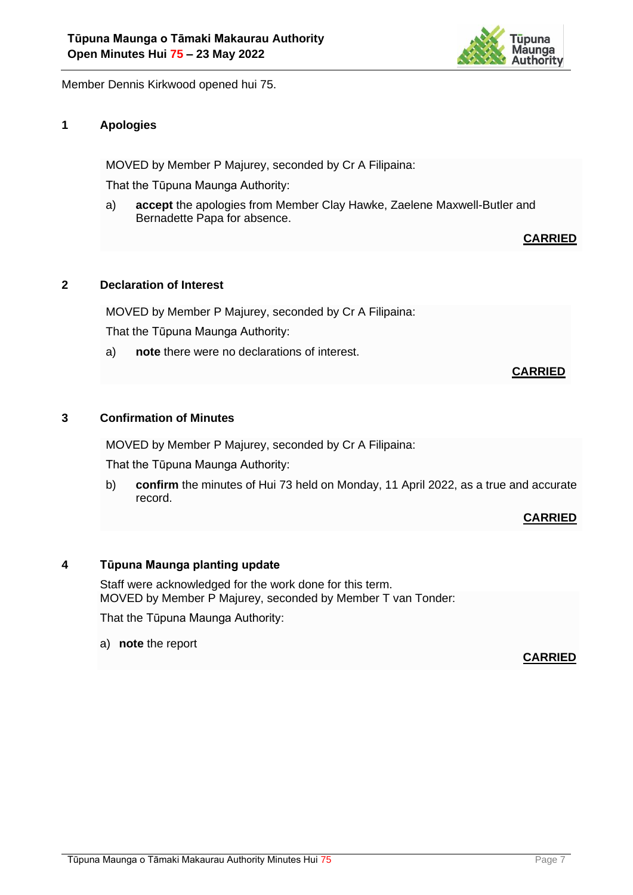

Member Dennis Kirkwood opened hui 75.

# **1 Apologies**

MOVED by Member P Majurey, seconded by Cr A Filipaina:

That the Tūpuna Maunga Authority:

a) **accept** the apologies from Member Clay Hawke, Zaelene Maxwell-Butler and Bernadette Papa for absence.

**CARRIED**

#### **2 Declaration of Interest**

MOVED by Member P Majurey, seconded by Cr A Filipaina:

That the Tūpuna Maunga Authority:

a) **note** there were no declarations of interest.

# **CARRIED**

#### **3 Confirmation of Minutes**

MOVED by Member P Majurey, seconded by Cr A Filipaina:

That the Tūpuna Maunga Authority:

b) **confirm** the minutes of Hui 73 held on Monday, 11 April 2022, as a true and accurate record.

#### **CARRIED**

#### **4 Tūpuna Maunga planting update**

Staff were acknowledged for the work done for this term. MOVED by Member P Majurey, seconded by Member T van Tonder:

That the Tūpuna Maunga Authority:

a) **note** the report

#### **CARRIED**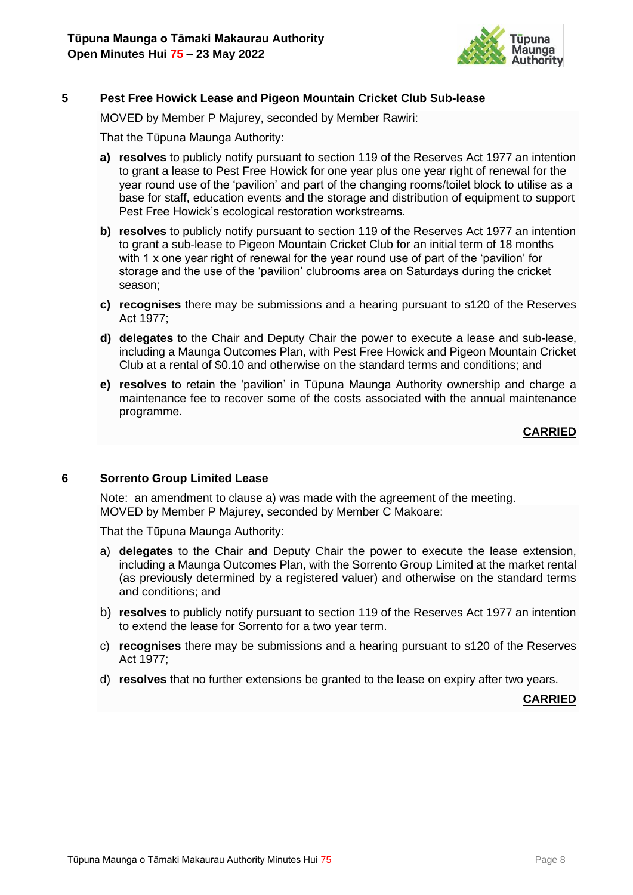

#### **5 Pest Free Howick Lease and Pigeon Mountain Cricket Club Sub-lease**

MOVED by Member P Majurey, seconded by Member Rawiri:

That the Tūpuna Maunga Authority:

- **a) resolves** to publicly notify pursuant to section 119 of the Reserves Act 1977 an intention to grant a lease to Pest Free Howick for one year plus one year right of renewal for the year round use of the 'pavilion' and part of the changing rooms/toilet block to utilise as a base for staff, education events and the storage and distribution of equipment to support Pest Free Howick's ecological restoration workstreams.
- **b) resolves** to publicly notify pursuant to section 119 of the Reserves Act 1977 an intention to grant a sub-lease to Pigeon Mountain Cricket Club for an initial term of 18 months with 1 x one year right of renewal for the year round use of part of the 'pavilion' for storage and the use of the 'pavilion' clubrooms area on Saturdays during the cricket season;
- **c) recognises** there may be submissions and a hearing pursuant to s120 of the Reserves Act 1977;
- **d) delegates** to the Chair and Deputy Chair the power to execute a lease and sub-lease, including a Maunga Outcomes Plan, with Pest Free Howick and Pigeon Mountain Cricket Club at a rental of \$0.10 and otherwise on the standard terms and conditions; and
- **e) resolves** to retain the 'pavilion' in Tūpuna Maunga Authority ownership and charge a maintenance fee to recover some of the costs associated with the annual maintenance programme.

**CARRIED**

#### **6 Sorrento Group Limited Lease**

Note: an amendment to clause a) was made with the agreement of the meeting. MOVED by Member P Majurey, seconded by Member C Makoare:

That the Tūpuna Maunga Authority:

- a) **delegates** to the Chair and Deputy Chair the power to execute the lease extension, including a Maunga Outcomes Plan, with the Sorrento Group Limited at the market rental (as previously determined by a registered valuer) and otherwise on the standard terms and conditions; and
- b) **resolves** to publicly notify pursuant to section 119 of the Reserves Act 1977 an intention to extend the lease for Sorrento for a two year term.
- c) **recognises** there may be submissions and a hearing pursuant to s120 of the Reserves Act 1977;
- d) **resolves** that no further extensions be granted to the lease on expiry after two years.

**CARRIED**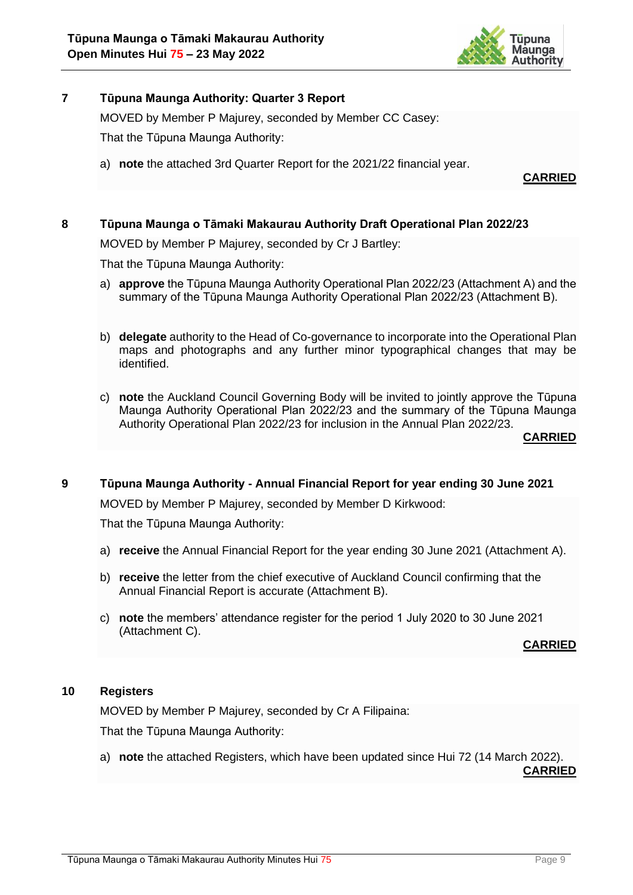

## **7 Tūpuna Maunga Authority: Quarter 3 Report**

MOVED by Member P Majurey, seconded by Member CC Casey:

That the Tūpuna Maunga Authority:

a) **note** the attached 3rd Quarter Report for the 2021/22 financial year.

**CARRIED**

# **8 Tūpuna Maunga o Tāmaki Makaurau Authority Draft Operational Plan 2022/23**

MOVED by Member P Majurey, seconded by Cr J Bartley:

That the Tūpuna Maunga Authority:

- a) **approve** the Tūpuna Maunga Authority Operational Plan 2022/23 (Attachment A) and the summary of the Tūpuna Maunga Authority Operational Plan 2022/23 (Attachment B).
- b) **delegate** authority to the Head of Co-governance to incorporate into the Operational Plan maps and photographs and any further minor typographical changes that may be identified.
- c) **note** the Auckland Council Governing Body will be invited to jointly approve the Tūpuna Maunga Authority Operational Plan 2022/23 and the summary of the Tūpuna Maunga Authority Operational Plan 2022/23 for inclusion in the Annual Plan 2022/23.

**CARRIED**

## **9 Tūpuna Maunga Authority - Annual Financial Report for year ending 30 June 2021**

MOVED by Member P Majurey, seconded by Member D Kirkwood:

That the Tūpuna Maunga Authority:

- a) **receive** the Annual Financial Report for the year ending 30 June 2021 (Attachment A).
- b) **receive** the letter from the chief executive of Auckland Council confirming that the Annual Financial Report is accurate (Attachment B).
- c) **note** the members' attendance register for the period 1 July 2020 to 30 June 2021 (Attachment C).

**CARRIED**

### **10 Registers**

MOVED by Member P Majurey, seconded by Cr A Filipaina:

That the Tūpuna Maunga Authority:

a) **note** the attached Registers, which have been updated since Hui 72 (14 March 2022).

**CARRIED**